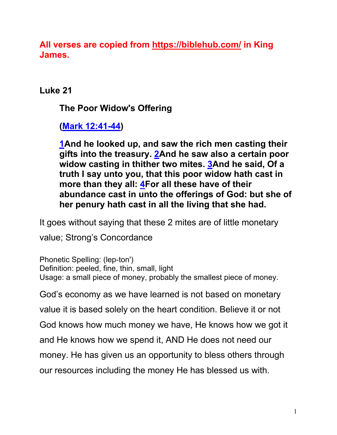**All verses are copied from https://biblehub.com/ in King James.** 

**Luke 21**

**The Poor Widow's Offering**

**(Mark 12:41-44)**

**1And he looked up, and saw the rich men casting their gifts into the treasury. 2And he saw also a certain poor widow casting in thither two mites. 3And he said, Of a truth I say unto you, that this poor widow hath cast in more than they all: 4For all these have of their abundance cast in unto the offerings of God: but she of her penury hath cast in all the living that she had.**

It goes without saying that these 2 mites are of little monetary

value; Strong's Concordance

Phonetic Spelling: (lep-ton') Definition: peeled, fine, thin, small, light Usage: a small piece of money, probably the smallest piece of money.

God's economy as we have learned is not based on monetary

value it is based solely on the heart condition. Believe it or not

God knows how much money we have, He knows how we got it

and He knows how we spend it, AND He does not need our

money. He has given us an opportunity to bless others through

our resources including the money He has blessed us with.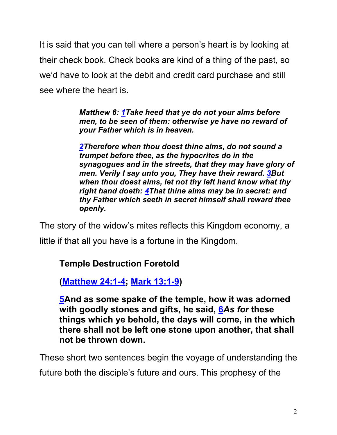It is said that you can tell where a person's heart is by looking at their check book. Check books are kind of a thing of the past, so we'd have to look at the debit and credit card purchase and still see where the heart is.

> *Matthew 6: 1Take heed that ye do not your alms before men, to be seen of them: otherwise ye have no reward of your Father which is in heaven.*

*2Therefore when thou doest thine alms, do not sound a trumpet before thee, as the hypocrites do in the synagogues and in the streets, that they may have glory of men. Verily I say unto you, They have their reward. 3But when thou doest alms, let not thy left hand know what thy right hand doeth: 4That thine alms may be in secret: and thy Father which seeth in secret himself shall reward thee openly.*

The story of the widow's mites reflects this Kingdom economy, a little if that all you have is a fortune in the Kingdom.

## **Temple Destruction Foretold**

**(Matthew 24:1-4; Mark 13:1-9)**

**5And as some spake of the temple, how it was adorned with goodly stones and gifts, he said, 6***As for* **these things which ye behold, the days will come, in the which there shall not be left one stone upon another, that shall not be thrown down.**

These short two sentences begin the voyage of understanding the

future both the disciple's future and ours. This prophesy of the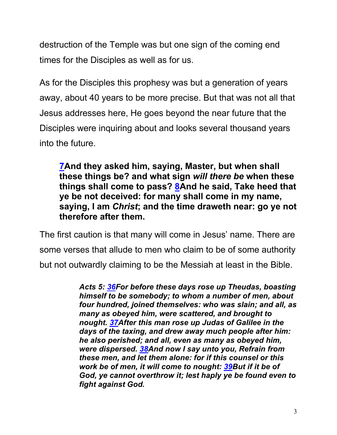destruction of the Temple was but one sign of the coming end times for the Disciples as well as for us.

As for the Disciples this prophesy was but a generation of years away, about 40 years to be more precise. But that was not all that Jesus addresses here, He goes beyond the near future that the Disciples were inquiring about and looks several thousand years into the future.

**7And they asked him, saying, Master, but when shall these things be? and what sign** *will there be* **when these things shall come to pass? 8And he said, Take heed that ye be not deceived: for many shall come in my name, saying, I am** *Christ***; and the time draweth near: go ye not therefore after them.**

The first caution is that many will come in Jesus' name. There are some verses that allude to men who claim to be of some authority but not outwardly claiming to be the Messiah at least in the Bible.

> *Acts 5: 36For before these days rose up Theudas, boasting himself to be somebody; to whom a number of men, about four hundred, joined themselves: who was slain; and all, as many as obeyed him, were scattered, and brought to nought. 37After this man rose up Judas of Galilee in the days of the taxing, and drew away much people after him: he also perished; and all, even as many as obeyed him, were dispersed. 38And now I say unto you, Refrain from these men, and let them alone: for if this counsel or this work be of men, it will come to nought: 39But if it be of God, ye cannot overthrow it; lest haply ye be found even to fight against God.*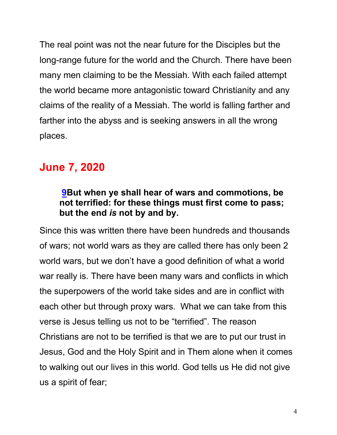The real point was not the near future for the Disciples but the long-range future for the world and the Church. There have been many men claiming to be the Messiah. With each failed attempt the world became more antagonistic toward Christianity and any claims of the reality of a Messiah. The world is falling farther and farther into the abyss and is seeking answers in all the wrong places.

# **June 7, 2020**

# **9But when ye shall hear of wars and commotions, be not terrified: for these things must first come to pass; but the end** *is* **not by and by.**

Since this was written there have been hundreds and thousands of wars; not world wars as they are called there has only been 2 world wars, but we don't have a good definition of what a world war really is. There have been many wars and conflicts in which the superpowers of the world take sides and are in conflict with each other but through proxy wars. What we can take from this verse is Jesus telling us not to be "terrified". The reason Christians are not to be terrified is that we are to put our trust in Jesus, God and the Holy Spirit and in Them alone when it comes to walking out our lives in this world. God tells us He did not give us a spirit of fear;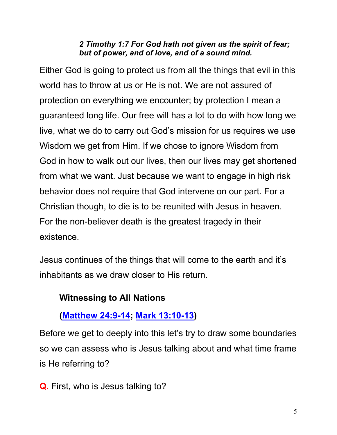#### *2 Timothy 1:7 For God hath not given us the spirit of fear; but of power, and of love, and of a sound mind.*

Either God is going to protect us from all the things that evil in this world has to throw at us or He is not. We are not assured of protection on everything we encounter; by protection I mean a guaranteed long life. Our free will has a lot to do with how long we live, what we do to carry out God's mission for us requires we use Wisdom we get from Him. If we chose to ignore Wisdom from God in how to walk out our lives, then our lives may get shortened from what we want. Just because we want to engage in high risk behavior does not require that God intervene on our part. For a Christian though, to die is to be reunited with Jesus in heaven. For the non-believer death is the greatest tragedy in their existence.

Jesus continues of the things that will come to the earth and it's inhabitants as we draw closer to His return.

# **Witnessing to All Nations**

# **(Matthew 24:9-14; Mark 13:10-13)**

Before we get to deeply into this let's try to draw some boundaries so we can assess who is Jesus talking about and what time frame is He referring to?

**Q.** First, who is Jesus talking to?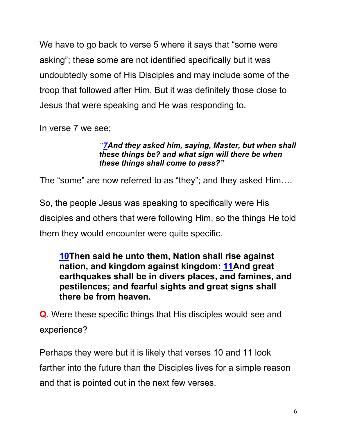We have to go back to verse 5 where it says that "some were" asking"; these some are not identified specifically but it was undoubtedly some of His Disciples and may include some of the troop that followed after Him. But it was definitely those close to Jesus that were speaking and He was responding to.

In verse 7 we see;

#### *"7And they asked him, saying, Master, but when shall these things be? and what sign will there be when these things shall come to pass?"*

The "some" are now referred to as "they"; and they asked Him….

So, the people Jesus was speaking to specifically were His disciples and others that were following Him, so the things He told them they would encounter were quite specific.

**10Then said he unto them, Nation shall rise against nation, and kingdom against kingdom: 11And great earthquakes shall be in divers places, and famines, and pestilences; and fearful sights and great signs shall there be from heaven.**

**Q.** Were these specific things that His disciples would see and experience?

Perhaps they were but it is likely that verses 10 and 11 look farther into the future than the Disciples lives for a simple reason and that is pointed out in the next few verses.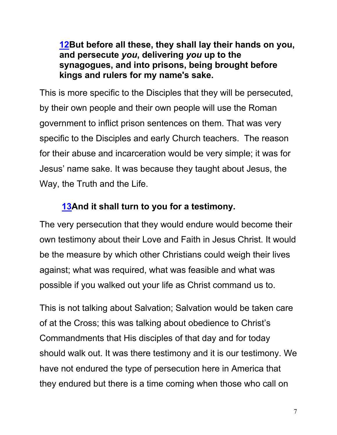## **12But before all these, they shall lay their hands on you, and persecute** *you***, delivering** *you* **up to the synagogues, and into prisons, being brought before kings and rulers for my name's sake.**

This is more specific to the Disciples that they will be persecuted, by their own people and their own people will use the Roman government to inflict prison sentences on them. That was very specific to the Disciples and early Church teachers. The reason for their abuse and incarceration would be very simple; it was for Jesus' name sake. It was because they taught about Jesus, the Way, the Truth and the Life.

# **13And it shall turn to you for a testimony.**

The very persecution that they would endure would become their own testimony about their Love and Faith in Jesus Christ. It would be the measure by which other Christians could weigh their lives against; what was required, what was feasible and what was possible if you walked out your life as Christ command us to.

This is not talking about Salvation; Salvation would be taken care of at the Cross; this was talking about obedience to Christ's Commandments that His disciples of that day and for today should walk out. It was there testimony and it is our testimony. We have not endured the type of persecution here in America that they endured but there is a time coming when those who call on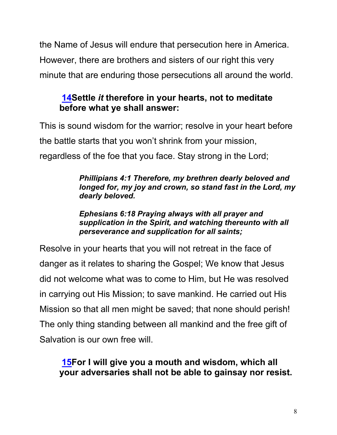the Name of Jesus will endure that persecution here in America. However, there are brothers and sisters of our right this very minute that are enduring those persecutions all around the world.

# **14Settle** *it* **therefore in your hearts, not to meditate before what ye shall answer:**

This is sound wisdom for the warrior; resolve in your heart before the battle starts that you won't shrink from your mission, regardless of the foe that you face. Stay strong in the Lord;

#### *Phillipians 4:1 Therefore, my brethren dearly beloved and longed for, my joy and crown, so stand fast in the Lord, my dearly beloved.*

*Ephesians 6:18 Praying always with all prayer and supplication in the Spirit, and watching thereunto with all perseverance and supplication for all saints;*

Resolve in your hearts that you will not retreat in the face of danger as it relates to sharing the Gospel; We know that Jesus did not welcome what was to come to Him, but He was resolved in carrying out His Mission; to save mankind. He carried out His Mission so that all men might be saved; that none should perish! The only thing standing between all mankind and the free gift of Salvation is our own free will.

# **15For I will give you a mouth and wisdom, which all your adversaries shall not be able to gainsay nor resist.**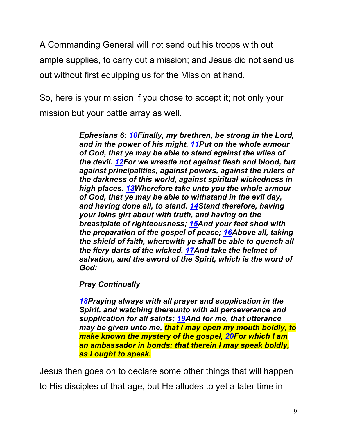A Commanding General will not send out his troops with out ample supplies, to carry out a mission; and Jesus did not send us out without first equipping us for the Mission at hand.

So, here is your mission if you chose to accept it; not only your mission but your battle array as well.

> *Ephesians 6: 10Finally, my brethren, be strong in the Lord, and in the power of his might. 11Put on the whole armour of God, that ye may be able to stand against the wiles of the devil. 12For we wrestle not against flesh and blood, but against principalities, against powers, against the rulers of the darkness of this world, against spiritual wickedness in high places. 13Wherefore take unto you the whole armour of God, that ye may be able to withstand in the evil day, and having done all, to stand. 14Stand therefore, having your loins girt about with truth, and having on the breastplate of righteousness; 15And your feet shod with the preparation of the gospel of peace; 16Above all, taking the shield of faith, wherewith ye shall be able to quench all the fiery darts of the wicked. 17And take the helmet of salvation, and the sword of the Spirit, which is the word of God:*

*Pray Continually*

*18Praying always with all prayer and supplication in the Spirit, and watching thereunto with all perseverance and supplication for all saints; 19And for me, that utterance may be given unto me, that I may open my mouth boldly, to make known the mystery of the gospel, 20For which I am an ambassador in bonds: that therein I may speak boldly, as I ought to speak.*

Jesus then goes on to declare some other things that will happen to His disciples of that age, but He alludes to yet a later time in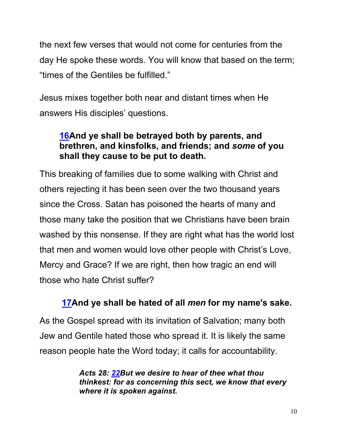the next few verses that would not come for centuries from the day He spoke these words. You will know that based on the term; "times of the Gentiles be fulfilled."

Jesus mixes together both near and distant times when He answers His disciples' questions.

# **16And ye shall be betrayed both by parents, and brethren, and kinsfolks, and friends; and** *some* **of you shall they cause to be put to death.**

This breaking of families due to some walking with Christ and others rejecting it has been seen over the two thousand years since the Cross. Satan has poisoned the hearts of many and those many take the position that we Christians have been brain washed by this nonsense. If they are right what has the world lost that men and women would love other people with Christ's Love, Mercy and Grace? If we are right, then how tragic an end will those who hate Christ suffer?

# **17And ye shall be hated of all** *men* **for my name's sake.**

As the Gospel spread with its invitation of Salvation; many both Jew and Gentile hated those who spread it. It is likely the same reason people hate the Word today; it calls for accountability.

> *Acts 28: 22But we desire to hear of thee what thou thinkest: for as concerning this sect, we know that every where it is spoken against.*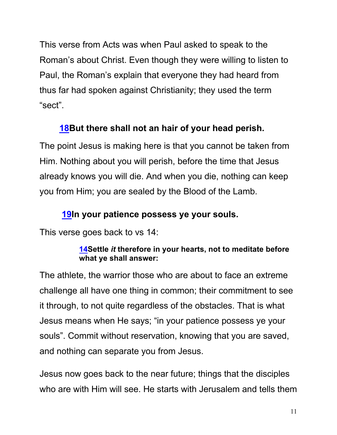This verse from Acts was when Paul asked to speak to the Roman's about Christ. Even though they were willing to listen to Paul, the Roman's explain that everyone they had heard from thus far had spoken against Christianity; they used the term "sect".

# **18But there shall not an hair of your head perish.**

The point Jesus is making here is that you cannot be taken from Him. Nothing about you will perish, before the time that Jesus already knows you will die. And when you die, nothing can keep you from Him; you are sealed by the Blood of the Lamb.

# **19In your patience possess ye your souls.**

This verse goes back to vs 14:

### **14Settle** *it* **therefore in your hearts, not to meditate before what ye shall answer:**

The athlete, the warrior those who are about to face an extreme challenge all have one thing in common; their commitment to see it through, to not quite regardless of the obstacles. That is what Jesus means when He says; "in your patience possess ye your souls". Commit without reservation, knowing that you are saved, and nothing can separate you from Jesus.

Jesus now goes back to the near future; things that the disciples who are with Him will see. He starts with Jerusalem and tells them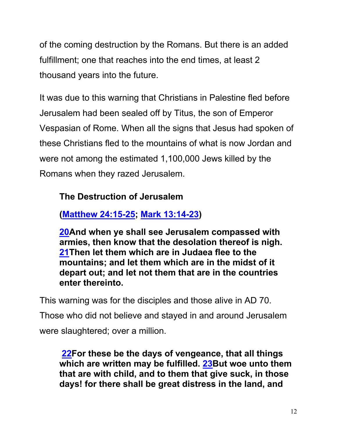of the coming destruction by the Romans. But there is an added fulfillment; one that reaches into the end times, at least 2 thousand years into the future.

It was due to this warning that Christians in Palestine fled before Jerusalem had been sealed off by Titus, the son of Emperor Vespasian of Rome. When all the signs that Jesus had spoken of these Christians fled to the mountains of what is now Jordan and were not among the estimated 1,100,000 Jews killed by the Romans when they razed Jerusalem.

# **The Destruction of Jerusalem**

**(Matthew 24:15-25; Mark 13:14-23)**

**20And when ye shall see Jerusalem compassed with armies, then know that the desolation thereof is nigh. 21Then let them which are in Judaea flee to the mountains; and let them which are in the midst of it depart out; and let not them that are in the countries enter thereinto.**

This warning was for the disciples and those alive in AD 70.

Those who did not believe and stayed in and around Jerusalem were slaughtered; over a million.

**22For these be the days of vengeance, that all things which are written may be fulfilled. 23But woe unto them that are with child, and to them that give suck, in those days! for there shall be great distress in the land, and**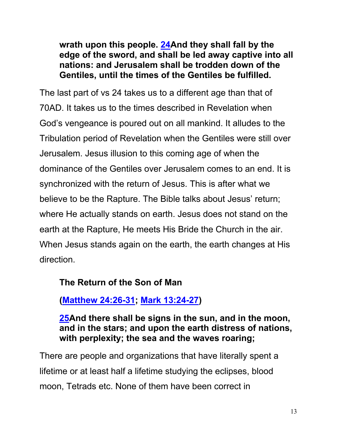**wrath upon this people. 24And they shall fall by the edge of the sword, and shall be led away captive into all nations: and Jerusalem shall be trodden down of the Gentiles, until the times of the Gentiles be fulfilled.**

The last part of vs 24 takes us to a different age than that of 70AD. It takes us to the times described in Revelation when God's vengeance is poured out on all mankind. It alludes to the Tribulation period of Revelation when the Gentiles were still over Jerusalem. Jesus illusion to this coming age of when the dominance of the Gentiles over Jerusalem comes to an end. It is synchronized with the return of Jesus. This is after what we believe to be the Rapture. The Bible talks about Jesus' return; where He actually stands on earth. Jesus does not stand on the earth at the Rapture, He meets His Bride the Church in the air. When Jesus stands again on the earth, the earth changes at His direction.

## **The Return of the Son of Man**

**(Matthew 24:26-31; Mark 13:24-27)**

**25And there shall be signs in the sun, and in the moon, and in the stars; and upon the earth distress of nations, with perplexity; the sea and the waves roaring;** 

There are people and organizations that have literally spent a lifetime or at least half a lifetime studying the eclipses, blood moon, Tetrads etc. None of them have been correct in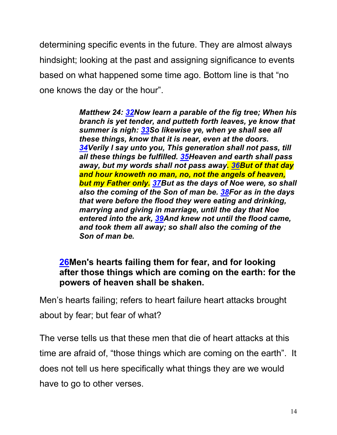determining specific events in the future. They are almost always hindsight; looking at the past and assigning significance to events based on what happened some time ago. Bottom line is that "no one knows the day or the hour".

> *Matthew 24: 32Now learn a parable of the fig tree; When his branch is yet tender, and putteth forth leaves, ye know that summer is nigh: 33So likewise ye, when ye shall see all these things, know that it is near, even at the doors. 34Verily I say unto you, This generation shall not pass, till all these things be fulfilled. 35Heaven and earth shall pass away, but my words shall not pass away. 36But of that day and hour knoweth no man, no, not the angels of heaven, but my Father only. 37But as the days of Noe were, so shall also the coming of the Son of man be. 38For as in the days that were before the flood they were eating and drinking, marrying and giving in marriage, until the day that Noe entered into the ark, 39And knew not until the flood came, and took them all away; so shall also the coming of the Son of man be.*

# **26Men's hearts failing them for fear, and for looking after those things which are coming on the earth: for the powers of heaven shall be shaken.**

Men's hearts failing; refers to heart failure heart attacks brought about by fear; but fear of what?

The verse tells us that these men that die of heart attacks at this time are afraid of, "those things which are coming on the earth". It does not tell us here specifically what things they are we would have to go to other verses.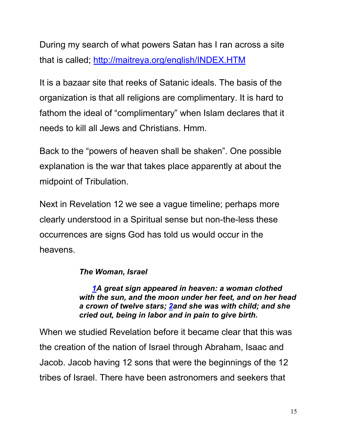During my search of what powers Satan has I ran across a site that is called; http://maitreya.org/english/INDEX.HTM

It is a bazaar site that reeks of Satanic ideals. The basis of the organization is that all religions are complimentary. It is hard to fathom the ideal of "complimentary" when Islam declares that it needs to kill all Jews and Christians. Hmm.

Back to the "powers of heaven shall be shaken". One possible explanation is the war that takes place apparently at about the midpoint of Tribulation.

Next in Revelation 12 we see a vague timeline; perhaps more clearly understood in a Spiritual sense but non-the-less these occurrences are signs God has told us would occur in the heavens.

### *The Woman, Israel*

 *1A great sign appeared in heaven: a woman clothed with the sun, and the moon under her feet, and on her head a crown of twelve stars; 2and she was with child; and she cried out, being in labor and in pain to give birth.* 

When we studied Revelation before it became clear that this was the creation of the nation of Israel through Abraham, Isaac and Jacob. Jacob having 12 sons that were the beginnings of the 12 tribes of Israel. There have been astronomers and seekers that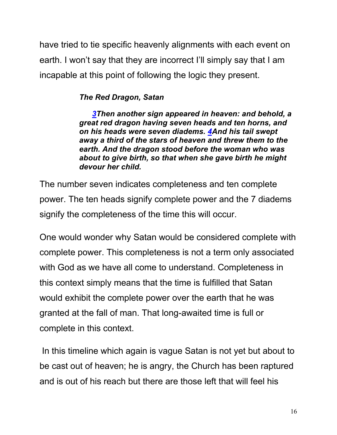have tried to tie specific heavenly alignments with each event on earth. I won't say that they are incorrect I'll simply say that I am incapable at this point of following the logic they present.

### *The Red Dragon, Satan*

 *3Then another sign appeared in heaven: and behold, a great red dragon having seven heads and ten horns, and on his heads were seven diadems. 4And his tail swept away a third of the stars of heaven and threw them to the earth. And the dragon stood before the woman who was about to give birth, so that when she gave birth he might devour her child.* 

The number seven indicates completeness and ten complete power. The ten heads signify complete power and the 7 diadems signify the completeness of the time this will occur.

One would wonder why Satan would be considered complete with complete power. This completeness is not a term only associated with God as we have all come to understand. Completeness in this context simply means that the time is fulfilled that Satan would exhibit the complete power over the earth that he was granted at the fall of man. That long-awaited time is full or complete in this context.

In this timeline which again is vague Satan is not yet but about to be cast out of heaven; he is angry, the Church has been raptured and is out of his reach but there are those left that will feel his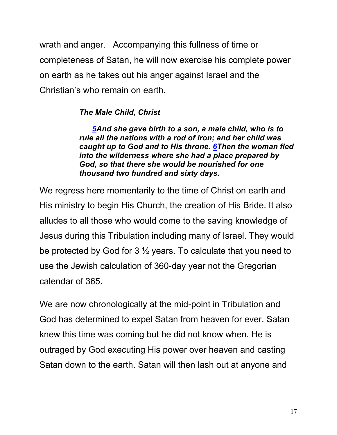wrath and anger. Accompanying this fullness of time or completeness of Satan, he will now exercise his complete power on earth as he takes out his anger against Israel and the Christian's who remain on earth.

### *The Male Child, Christ*

 *5And she gave birth to a son, a male child, who is to rule all the nations with a rod of iron; and her child was caught up to God and to His throne. 6Then the woman fled into the wilderness where she had a place prepared by God, so that there she would be nourished for one thousand two hundred and sixty days.* 

We regress here momentarily to the time of Christ on earth and His ministry to begin His Church, the creation of His Bride. It also alludes to all those who would come to the saving knowledge of Jesus during this Tribulation including many of Israel. They would be protected by God for 3 ½ years. To calculate that you need to use the Jewish calculation of 360-day year not the Gregorian calendar of 365.

We are now chronologically at the mid-point in Tribulation and God has determined to expel Satan from heaven for ever. Satan knew this time was coming but he did not know when. He is outraged by God executing His power over heaven and casting Satan down to the earth. Satan will then lash out at anyone and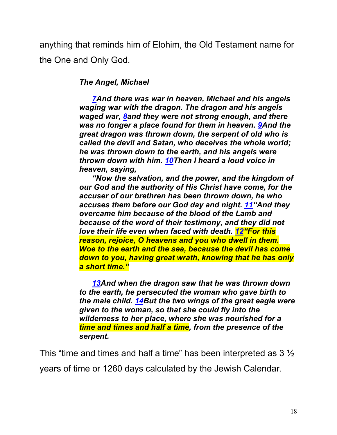anything that reminds him of Elohim, the Old Testament name for the One and Only God.

#### *The Angel, Michael*

 *7And there was war in heaven, Michael and his angels waging war with the dragon. The dragon and his angels waged war, 8and they were not strong enough, and there was no longer a place found for them in heaven. 9And the great dragon was thrown down, the serpent of old who is called the devil and Satan, who deceives the whole world; he was thrown down to the earth, and his angels were thrown down with him. 10Then I heard a loud voice in heaven, saying,*

 *"Now the salvation, and the power, and the kingdom of our God and the authority of His Christ have come, for the accuser of our brethren has been thrown down, he who accuses them before our God day and night. 11"And they overcame him because of the blood of the Lamb and because of the word of their testimony, and they did not love their life even when faced with death. 12"For this reason, rejoice, O heavens and you who dwell in them. Woe to the earth and the sea, because the devil has come down to you, having great wrath, knowing that he has only a short time."*

 *13And when the dragon saw that he was thrown down to the earth, he persecuted the woman who gave birth to the male child. 14But the two wings of the great eagle were given to the woman, so that she could fly into the wilderness to her place, where she was nourished for a time and times and half a time, from the presence of the serpent.*

This "time and times and half a time" has been interpreted as 3 ½ years of time or 1260 days calculated by the Jewish Calendar.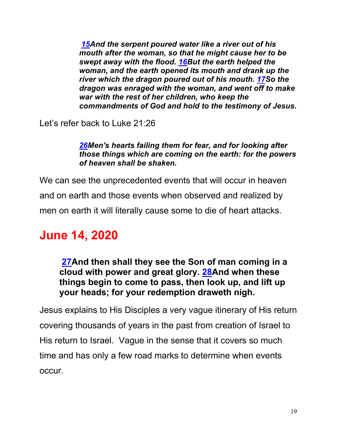*15And the serpent poured water like a river out of his mouth after the woman, so that he might cause her to be swept away with the flood. 16But the earth helped the woman, and the earth opened its mouth and drank up the river which the dragon poured out of his mouth. 17So the dragon was enraged with the woman, and went off to make war with the rest of her children, who keep the commandments of God and hold to the testimony of Jesus.* 

Let's refer back to Luke 21:26

*26Men's hearts failing them for fear, and for looking after those things which are coming on the earth: for the powers of heaven shall be shaken.*

We can see the unprecedented events that will occur in heaven and on earth and those events when observed and realized by men on earth it will literally cause some to die of heart attacks.

# **June 14, 2020**

**27And then shall they see the Son of man coming in a cloud with power and great glory. 28And when these things begin to come to pass, then look up, and lift up your heads; for your redemption draweth nigh.**

Jesus explains to His Disciples a very vague itinerary of His return covering thousands of years in the past from creation of Israel to His return to Israel. Vague in the sense that it covers so much time and has only a few road marks to determine when events occur.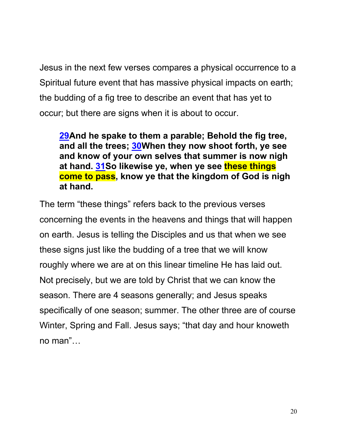Jesus in the next few verses compares a physical occurrence to a Spiritual future event that has massive physical impacts on earth; the budding of a fig tree to describe an event that has yet to occur; but there are signs when it is about to occur.

**29And he spake to them a parable; Behold the fig tree, and all the trees; 30When they now shoot forth, ye see and know of your own selves that summer is now nigh at hand. 31So likewise ye, when ye see these things come to pass, know ye that the kingdom of God is nigh at hand.**

The term "these things" refers back to the previous verses concerning the events in the heavens and things that will happen on earth. Jesus is telling the Disciples and us that when we see these signs just like the budding of a tree that we will know roughly where we are at on this linear timeline He has laid out. Not precisely, but we are told by Christ that we can know the season. There are 4 seasons generally; and Jesus speaks specifically of one season; summer. The other three are of course Winter, Spring and Fall. Jesus says; "that day and hour knoweth no man"…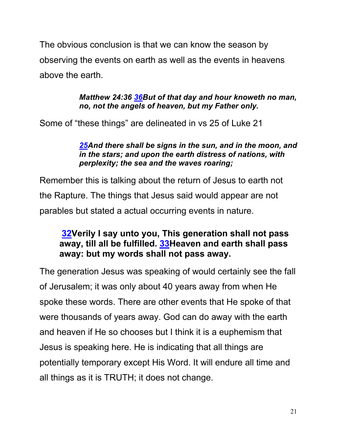The obvious conclusion is that we can know the season by observing the events on earth as well as the events in heavens above the earth.

#### *Matthew 24:36 36But of that day and hour knoweth no man, no, not the angels of heaven, but my Father only.*

Some of "these things" are delineated in vs 25 of Luke 21

#### *25And there shall be signs in the sun, and in the moon, and in the stars; and upon the earth distress of nations, with perplexity; the sea and the waves roaring;*

Remember this is talking about the return of Jesus to earth not the Rapture. The things that Jesus said would appear are not parables but stated a actual occurring events in nature.

# **32Verily I say unto you, This generation shall not pass away, till all be fulfilled. 33Heaven and earth shall pass away: but my words shall not pass away.**

The generation Jesus was speaking of would certainly see the fall of Jerusalem; it was only about 40 years away from when He spoke these words. There are other events that He spoke of that were thousands of years away. God can do away with the earth and heaven if He so chooses but I think it is a euphemism that Jesus is speaking here. He is indicating that all things are potentially temporary except His Word. It will endure all time and all things as it is TRUTH; it does not change.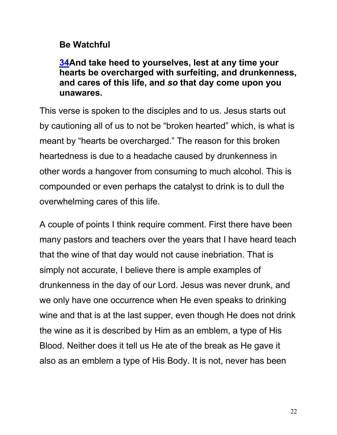# **Be Watchful**

**34And take heed to yourselves, lest at any time your hearts be overcharged with surfeiting, and drunkenness, and cares of this life, and** *so* **that day come upon you unawares.**

This verse is spoken to the disciples and to us. Jesus starts out by cautioning all of us to not be "broken hearted" which, is what is meant by "hearts be overcharged." The reason for this broken heartedness is due to a headache caused by drunkenness in other words a hangover from consuming to much alcohol. This is compounded or even perhaps the catalyst to drink is to dull the overwhelming cares of this life.

A couple of points I think require comment. First there have been many pastors and teachers over the years that I have heard teach that the wine of that day would not cause inebriation. That is simply not accurate, I believe there is ample examples of drunkenness in the day of our Lord. Jesus was never drunk, and we only have one occurrence when He even speaks to drinking wine and that is at the last supper, even though He does not drink the wine as it is described by Him as an emblem, a type of His Blood. Neither does it tell us He ate of the break as He gave it also as an emblem a type of His Body. It is not, never has been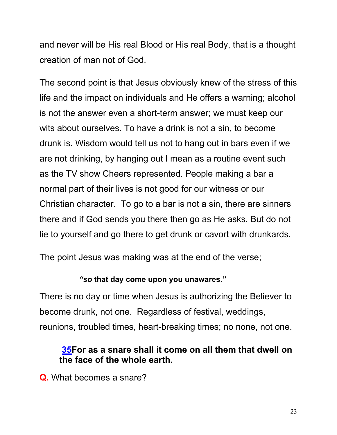and never will be His real Blood or His real Body, that is a thought creation of man not of God.

The second point is that Jesus obviously knew of the stress of this life and the impact on individuals and He offers a warning; alcohol is not the answer even a short-term answer; we must keep our wits about ourselves. To have a drink is not a sin, to become drunk is. Wisdom would tell us not to hang out in bars even if we are not drinking, by hanging out I mean as a routine event such as the TV show Cheers represented. People making a bar a normal part of their lives is not good for our witness or our Christian character. To go to a bar is not a sin, there are sinners there and if God sends you there then go as He asks. But do not lie to yourself and go there to get drunk or cavort with drunkards.

The point Jesus was making was at the end of the verse;

#### *"so* **that day come upon you unawares."**

There is no day or time when Jesus is authorizing the Believer to become drunk, not one. Regardless of festival, weddings, reunions, troubled times, heart-breaking times; no none, not one.

## **35For as a snare shall it come on all them that dwell on the face of the whole earth.**

**Q.** What becomes a snare?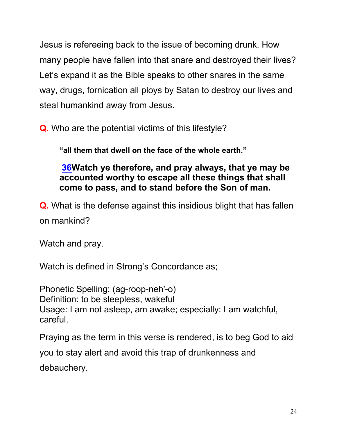Jesus is refereeing back to the issue of becoming drunk. How many people have fallen into that snare and destroyed their lives? Let's expand it as the Bible speaks to other snares in the same way, drugs, fornication all ploys by Satan to destroy our lives and steal humankind away from Jesus.

**Q.** Who are the potential victims of this lifestyle?

**"all them that dwell on the face of the whole earth."**

**36Watch ye therefore, and pray always, that ye may be accounted worthy to escape all these things that shall come to pass, and to stand before the Son of man.**

**Q.** What is the defense against this insidious blight that has fallen on mankind?

Watch and pray.

Watch is defined in Strong's Concordance as;

Phonetic Spelling: (ag-roop-neh'-o) Definition: to be sleepless, wakeful Usage: I am not asleep, am awake; especially: I am watchful, careful.

Praying as the term in this verse is rendered, is to beg God to aid you to stay alert and avoid this trap of drunkenness and debauchery.